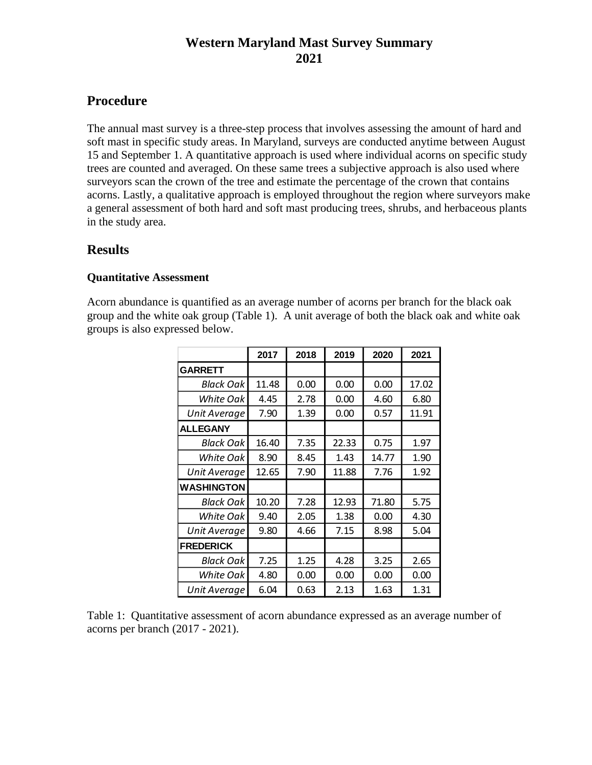## **Western Maryland Mast Survey Summary 2021**

## **Procedure**

The annual mast survey is a three-step process that involves assessing the amount of hard and soft mast in specific study areas. In Maryland, surveys are conducted anytime between August 15 and September 1. A quantitative approach is used where individual acorns on specific study trees are counted and averaged. On these same trees a subjective approach is also used where surveyors scan the crown of the tree and estimate the percentage of the crown that contains acorns. Lastly, a qualitative approach is employed throughout the region where surveyors make a general assessment of both hard and soft mast producing trees, shrubs, and herbaceous plants in the study area.

### **Results**

#### **Quantitative Assessment**

Acorn abundance is quantified as an average number of acorns per branch for the black oak group and the white oak group (Table 1). A unit average of both the black oak and white oak groups is also expressed below.

|                   | 2017  | 2018 | 2019  | 2020  | 2021  |
|-------------------|-------|------|-------|-------|-------|
| <b>GARRETT</b>    |       |      |       |       |       |
| Black Oak         | 11.48 | 0.00 | 0.00  | 0.00  | 17.02 |
| White Oak         | 4.45  | 2.78 | 0.00  | 4.60  | 6.80  |
| Unit Average      | 7.90  | 1.39 | 0.00  | 0.57  | 11.91 |
| <b>ALLEGANY</b>   |       |      |       |       |       |
| Black Oak         | 16.40 | 7.35 | 22.33 | 0.75  | 1.97  |
| White Oak         | 8.90  | 8.45 | 1.43  | 14.77 | 1.90  |
| Unit Average      | 12.65 | 7.90 | 11.88 | 7.76  | 1.92  |
| <b>WASHINGTON</b> |       |      |       |       |       |
| Black Oak         | 10.20 | 7.28 | 12.93 | 71.80 | 5.75  |
| White Oak         | 9.40  | 2.05 | 1.38  | 0.00  | 4.30  |
| Unit Average      | 9.80  | 4.66 | 7.15  | 8.98  | 5.04  |
| <b>FREDERICK</b>  |       |      |       |       |       |
| Black Oak         | 7.25  | 1.25 | 4.28  | 3.25  | 2.65  |
| White Oak         | 4.80  | 0.00 | 0.00  | 0.00  | 0.00  |
| Unit Average      | 6.04  | 0.63 | 2.13  | 1.63  | 1.31  |

Table 1: Quantitative assessment of acorn abundance expressed as an average number of acorns per branch (2017 - 2021).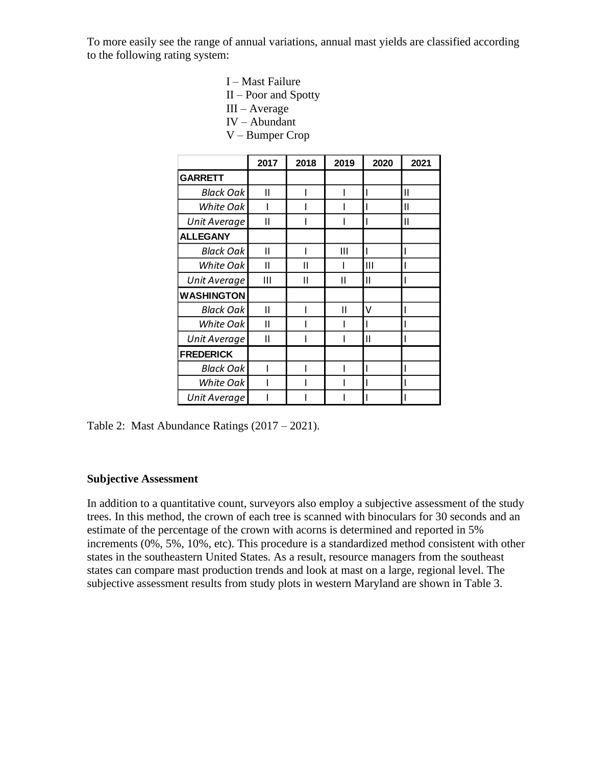To more easily see the range of annual variations, annual mast yields are classified according to the following rating system:

- I Mast Failure
- II Poor and Spotty
- III Average
- IV Abundant
- V Bumper Crop

|                   | 2017 | 2018 | 2019 | 2020 | 2021 |
|-------------------|------|------|------|------|------|
| <b>GARRETT</b>    |      |      |      |      |      |
| <b>Black Oak</b>  | Ш    |      |      |      | П    |
| White Oak         |      |      |      |      | Ш    |
| Unit Average      | Ш    |      |      |      | Ш    |
| <b>ALLEGANY</b>   |      |      |      |      |      |
| <b>Black Oak</b>  | Ш    |      | Ш    |      |      |
| White Oak         | Ш    | Н    |      | Ш    |      |
| Unit Average      | Ш    | Ш    | Ш    | Ш    |      |
| <b>WASHINGTON</b> |      |      |      |      |      |
| <b>Black Oak</b>  | Ш    |      | Ш    | ٧    |      |
| White Oak         | Ш    |      |      |      |      |
| Unit Average      | Ш    |      |      | П    |      |
| <b>FREDERICK</b>  |      |      |      |      |      |
| Black Oak         |      |      |      |      |      |
| White Oak         |      |      |      |      |      |
| Unit Average      |      |      |      |      |      |

Table 2: Mast Abundance Ratings (2017 – 2021).

#### **Subjective Assessment**

In addition to a quantitative count, surveyors also employ a subjective assessment of the study trees. In this method, the crown of each tree is scanned with binoculars for 30 seconds and an estimate of the percentage of the crown with acorns is determined and reported in 5% increments (0%, 5%, 10%, etc). This procedure is a standardized method consistent with other states in the southeastern United States. As a result, resource managers from the southeast states can compare mast production trends and look at mast on a large, regional level. The subjective assessment results from study plots in western Maryland are shown in Table 3.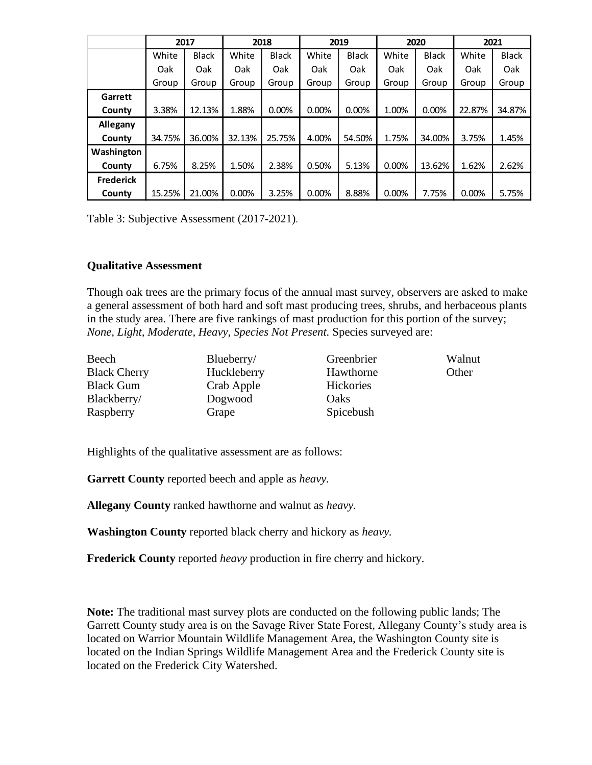|                  | 2017   |              | 2018   |              | 2019  |              | 2020  |              | 2021   |              |
|------------------|--------|--------------|--------|--------------|-------|--------------|-------|--------------|--------|--------------|
|                  | White  | <b>Black</b> | White  | <b>Black</b> | White | <b>Black</b> | White | <b>Black</b> | White  | <b>Black</b> |
|                  | Oak    | Oak          | Oak    | Oak          | Oak   | Oak          | Oak   | Oak          | Oak    | Oak          |
|                  | Group  | Group        | Group  | Group        | Group | Group        | Group | Group        | Group  | Group        |
| Garrett          |        |              |        |              |       |              |       |              |        |              |
| County           | 3.38%  | 12.13%       | 1.88%  | 0.00%        | 0.00% | 0.00%        | 1.00% | 0.00%        | 22.87% | 34.87%       |
| Allegany         |        |              |        |              |       |              |       |              |        |              |
| County           | 34.75% | 36.00%       | 32.13% | 25.75%       | 4.00% | 54.50%       | 1.75% | 34.00%       | 3.75%  | 1.45%        |
| Washington       |        |              |        |              |       |              |       |              |        |              |
| County           | 6.75%  | 8.25%        | 1.50%  | 2.38%        | 0.50% | 5.13%        | 0.00% | 13.62%       | 1.62%  | 2.62%        |
| <b>Frederick</b> |        |              |        |              |       |              |       |              |        |              |
| County           | 15.25% | 21.00%       | 0.00%  | 3.25%        | 0.00% | 8.88%        | 0.00% | 7.75%        | 0.00%  | 5.75%        |

Table 3: Subjective Assessment (2017-2021).

### **Qualitative Assessment**

Though oak trees are the primary focus of the annual mast survey, observers are asked to make a general assessment of both hard and soft mast producing trees, shrubs, and herbaceous plants in the study area. There are five rankings of mast production for this portion of the survey; *None, Light, Moderate, Heavy, Species Not Present.* Species surveyed are:

| Beech               | Blueberry/  | Greenbrier       | Walnut |
|---------------------|-------------|------------------|--------|
| <b>Black Cherry</b> | Huckleberry | Hawthorne        | Other  |
| <b>Black Gum</b>    | Crab Apple  | <b>Hickories</b> |        |
| Blackberry/         | Dogwood     | <b>Oaks</b>      |        |
| Raspberry           | Grape       | Spicebush        |        |

Highlights of the qualitative assessment are as follows:

**Garrett County** reported beech and apple as *heavy.*

**Allegany County** ranked hawthorne and walnut as *heavy.*

**Washington County** reported black cherry and hickory as *heavy.*

**Frederick County** reported *heavy* production in fire cherry and hickory*.*

**Note:** The traditional mast survey plots are conducted on the following public lands; The Garrett County study area is on the Savage River State Forest, Allegany County's study area is located on Warrior Mountain Wildlife Management Area, the Washington County site is located on the Indian Springs Wildlife Management Area and the Frederick County site is located on the Frederick City Watershed.